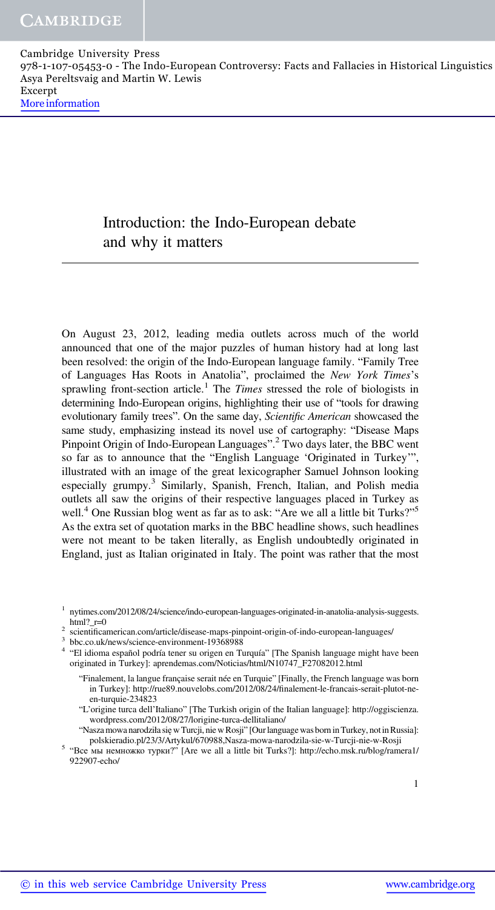# Introduction: the Indo-European debate and why it matters

On August 23, 2012, leading media outlets across much of the world announced that one of the major puzzles of human history had at long last been resolved: the origin of the Indo-European language family. "Family Tree of Languages Has Roots in Anatolia", proclaimed the New York Times's sprawling front-section article.<sup>1</sup> The *Times* stressed the role of biologists in determining Indo-European origins, highlighting their use of "tools for drawing evolutionary family trees". On the same day, Scientific American showcased the same study, emphasizing instead its novel use of cartography: "Disease Maps Pinpoint Origin of Indo-European Languages".<sup>2</sup> Two days later, the BBC went so far as to announce that the "English Language 'Originated in Turkey'", illustrated with an image of the great lexicographer Samuel Johnson looking especially grumpy.<sup>3</sup> Similarly, Spanish, French, Italian, and Polish media outlets all saw the origins of their respective languages placed in Turkey as well.<sup>4</sup> One Russian blog went as far as to ask: "Are we all a little bit Turks?"<sup>5</sup> As the extra set of quotation marks in the BBC headline shows, such headlines were not meant to be taken literally, as English undoubtedly originated in England, just as Italian originated in Italy. The point was rather that the most

<sup>1</sup> nytimes.com/2012/08/24/science/indo-european-languages-originated-in-anatolia-analysis-suggests. html?\_r=0<br>
2 scientificamerican.com/article/disease-maps-pinpoint-origin-of-indo-european-languages/<br>
3 bbc.co.uk/news/science-environment-19368988<br>
4 "El idioma español podría tener su origen en Turquía" [The Spanish lang

originated in Turkey]: aprendemas.com/Noticias/html/N10747\_F27082012.html

<sup>&</sup>quot;Finalement, la langue française serait née en Turquie" [Finally, the French language was born in Turkey]: http://rue89.nouvelobs.com/2012/08/24/finalement-le-francais-serait-plutot-neen-turquie-234823

<sup>&</sup>quot;L'origine turca dell'Italiano" [The Turkish origin of the Italian language]: http://oggiscienza. wordpress.com/2012/08/27/lorigine-turca-dellitaliano/

<sup>&</sup>quot;Nasza mowa narodziła się w Turcji, nie w Rosji" [Our language was born in Turkey, not in Russia]:

<sup>&</sup>lt;sup>5</sup> "Все мы немножко турки?" [Are we all a little bit Turks?]: http://echo.msk.ru/blog/ramera1/ 922907-echo/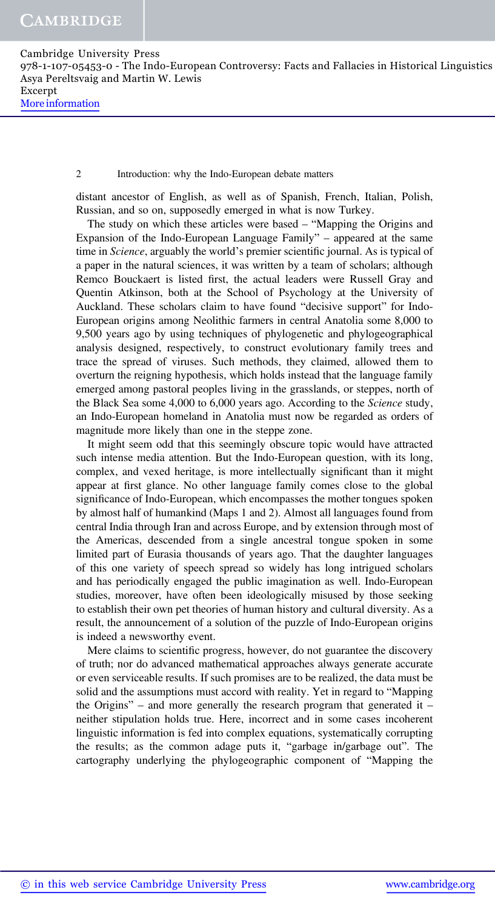#### 2 Introduction: why the Indo-European debate matters

distant ancestor of English, as well as of Spanish, French, Italian, Polish, Russian, and so on, supposedly emerged in what is now Turkey.

The study on which these articles were based – "Mapping the Origins and Expansion of the Indo-European Language Family" – appeared at the same time in Science, arguably the world's premier scientific journal. As is typical of a paper in the natural sciences, it was written by a team of scholars; although Remco Bouckaert is listed first, the actual leaders were Russell Gray and Quentin Atkinson, both at the School of Psychology at the University of Auckland. These scholars claim to have found "decisive support" for Indo-European origins among Neolithic farmers in central Anatolia some 8,000 to 9,500 years ago by using techniques of phylogenetic and phylogeographical analysis designed, respectively, to construct evolutionary family trees and trace the spread of viruses. Such methods, they claimed, allowed them to overturn the reigning hypothesis, which holds instead that the language family emerged among pastoral peoples living in the grasslands, or steppes, north of the Black Sea some 4,000 to 6,000 years ago. According to the Science study, an Indo-European homeland in Anatolia must now be regarded as orders of magnitude more likely than one in the steppe zone.

It might seem odd that this seemingly obscure topic would have attracted such intense media attention. But the Indo-European question, with its long, complex, and vexed heritage, is more intellectually significant than it might appear at first glance. No other language family comes close to the global significance of Indo-European, which encompasses the mother tongues spoken by almost half of humankind (Maps 1 and 2). Almost all languages found from central India through Iran and across Europe, and by extension through most of the Americas, descended from a single ancestral tongue spoken in some limited part of Eurasia thousands of years ago. That the daughter languages of this one variety of speech spread so widely has long intrigued scholars and has periodically engaged the public imagination as well. Indo-European studies, moreover, have often been ideologically misused by those seeking to establish their own pet theories of human history and cultural diversity. As a result, the announcement of a solution of the puzzle of Indo-European origins is indeed a newsworthy event.

Mere claims to scientific progress, however, do not guarantee the discovery of truth; nor do advanced mathematical approaches always generate accurate or even serviceable results. If such promises are to be realized, the data must be solid and the assumptions must accord with reality. Yet in regard to "Mapping the Origins" – and more generally the research program that generated it – neither stipulation holds true. Here, incorrect and in some cases incoherent linguistic information is fed into complex equations, systematically corrupting the results; as the common adage puts it, "garbage in/garbage out". The cartography underlying the phylogeographic component of "Mapping the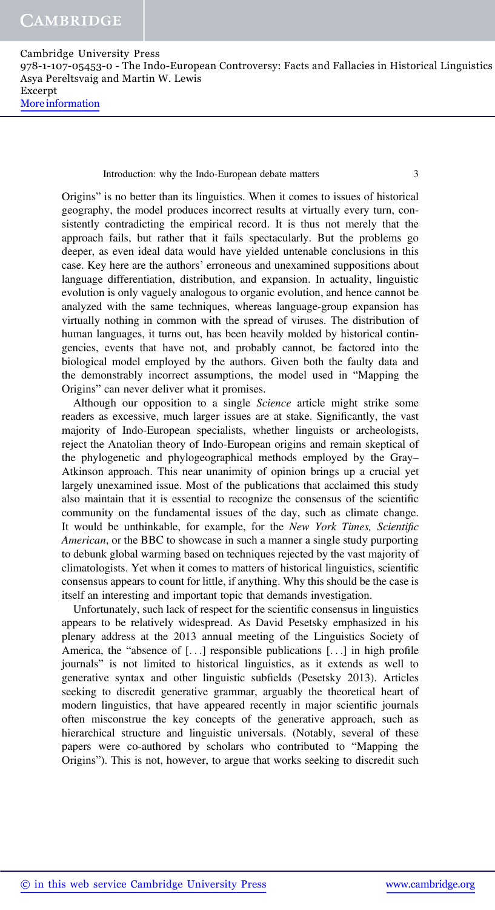Introduction: why the Indo-European debate matters 3

Origins" is no better than its linguistics. When it comes to issues of historical geography, the model produces incorrect results at virtually every turn, consistently contradicting the empirical record. It is thus not merely that the approach fails, but rather that it fails spectacularly. But the problems go deeper, as even ideal data would have yielded untenable conclusions in this case. Key here are the authors' erroneous and unexamined suppositions about language differentiation, distribution, and expansion. In actuality, linguistic evolution is only vaguely analogous to organic evolution, and hence cannot be analyzed with the same techniques, whereas language-group expansion has virtually nothing in common with the spread of viruses. The distribution of human languages, it turns out, has been heavily molded by historical contingencies, events that have not, and probably cannot, be factored into the biological model employed by the authors. Given both the faulty data and the demonstrably incorrect assumptions, the model used in "Mapping the Origins" can never deliver what it promises.

Although our opposition to a single Science article might strike some readers as excessive, much larger issues are at stake. Significantly, the vast majority of Indo-European specialists, whether linguists or archeologists, reject the Anatolian theory of Indo-European origins and remain skeptical of the phylogenetic and phylogeographical methods employed by the Gray– Atkinson approach. This near unanimity of opinion brings up a crucial yet largely unexamined issue. Most of the publications that acclaimed this study also maintain that it is essential to recognize the consensus of the scientific community on the fundamental issues of the day, such as climate change. It would be unthinkable, for example, for the New York Times, Scientific American, or the BBC to showcase in such a manner a single study purporting to debunk global warming based on techniques rejected by the vast majority of climatologists. Yet when it comes to matters of historical linguistics, scientific consensus appears to count for little, if anything. Why this should be the case is itself an interesting and important topic that demands investigation.

Unfortunately, such lack of respect for the scientific consensus in linguistics appears to be relatively widespread. As David Pesetsky emphasized in his plenary address at the 2013 annual meeting of the Linguistics Society of America, the "absence of [...] responsible publications [...] in high profile journals" is not limited to historical linguistics, as it extends as well to generative syntax and other linguistic subfields (Pesetsky 2013). Articles seeking to discredit generative grammar, arguably the theoretical heart of modern linguistics, that have appeared recently in major scientific journals often misconstrue the key concepts of the generative approach, such as hierarchical structure and linguistic universals. (Notably, several of these papers were co-authored by scholars who contributed to "Mapping the Origins"). This is not, however, to argue that works seeking to discredit such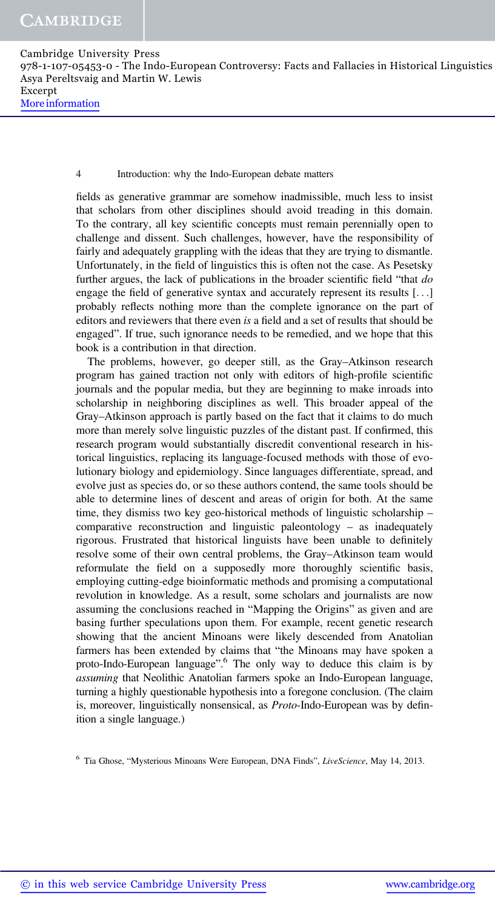## 4 Introduction: why the Indo-European debate matters

fields as generative grammar are somehow inadmissible, much less to insist that scholars from other disciplines should avoid treading in this domain. To the contrary, all key scientific concepts must remain perennially open to challenge and dissent. Such challenges, however, have the responsibility of fairly and adequately grappling with the ideas that they are trying to dismantle. Unfortunately, in the field of linguistics this is often not the case. As Pesetsky further argues, the lack of publications in the broader scientific field "that do engage the field of generative syntax and accurately represent its results [...] probably reflects nothing more than the complete ignorance on the part of editors and reviewers that there even is a field and a set of results that should be engaged". If true, such ignorance needs to be remedied, and we hope that this book is a contribution in that direction.

The problems, however, go deeper still, as the Gray–Atkinson research program has gained traction not only with editors of high-profile scientific journals and the popular media, but they are beginning to make inroads into scholarship in neighboring disciplines as well. This broader appeal of the Gray–Atkinson approach is partly based on the fact that it claims to do much more than merely solve linguistic puzzles of the distant past. If confirmed, this research program would substantially discredit conventional research in historical linguistics, replacing its language-focused methods with those of evolutionary biology and epidemiology. Since languages differentiate, spread, and evolve just as species do, or so these authors contend, the same tools should be able to determine lines of descent and areas of origin for both. At the same time, they dismiss two key geo-historical methods of linguistic scholarship – comparative reconstruction and linguistic paleontology – as inadequately rigorous. Frustrated that historical linguists have been unable to definitely resolve some of their own central problems, the Gray–Atkinson team would reformulate the field on a supposedly more thoroughly scientific basis, employing cutting-edge bioinformatic methods and promising a computational revolution in knowledge. As a result, some scholars and journalists are now assuming the conclusions reached in "Mapping the Origins" as given and are basing further speculations upon them. For example, recent genetic research showing that the ancient Minoans were likely descended from Anatolian farmers has been extended by claims that "the Minoans may have spoken a proto-Indo-European language". <sup>6</sup> The only way to deduce this claim is by assuming that Neolithic Anatolian farmers spoke an Indo-European language, turning a highly questionable hypothesis into a foregone conclusion. (The claim is, moreover, linguistically nonsensical, as Proto-Indo-European was by definition a single language.)

<sup>6</sup> Tia Ghose, "Mysterious Minoans Were European, DNA Finds", LiveScience, May 14, 2013.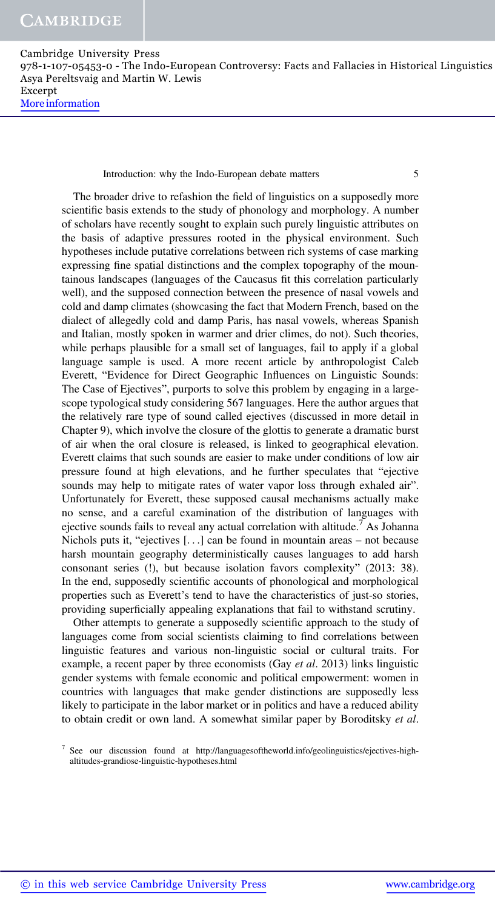Introduction: why the Indo-European debate matters 5

The broader drive to refashion the field of linguistics on a supposedly more scientific basis extends to the study of phonology and morphology. A number of scholars have recently sought to explain such purely linguistic attributes on the basis of adaptive pressures rooted in the physical environment. Such hypotheses include putative correlations between rich systems of case marking expressing fine spatial distinctions and the complex topography of the mountainous landscapes (languages of the Caucasus fit this correlation particularly well), and the supposed connection between the presence of nasal vowels and cold and damp climates (showcasing the fact that Modern French, based on the dialect of allegedly cold and damp Paris, has nasal vowels, whereas Spanish and Italian, mostly spoken in warmer and drier climes, do not). Such theories, while perhaps plausible for a small set of languages, fail to apply if a global language sample is used. A more recent article by anthropologist Caleb Everett, "Evidence for Direct Geographic Influences on Linguistic Sounds: The Case of Ejectives", purports to solve this problem by engaging in a largescope typological study considering 567 languages. Here the author argues that the relatively rare type of sound called ejectives (discussed in more detail in Chapter 9), which involve the closure of the glottis to generate a dramatic burst of air when the oral closure is released, is linked to geographical elevation. Everett claims that such sounds are easier to make under conditions of low air pressure found at high elevations, and he further speculates that "ejective sounds may help to mitigate rates of water vapor loss through exhaled air". Unfortunately for Everett, these supposed causal mechanisms actually make no sense, and a careful examination of the distribution of languages with ejective sounds fails to reveal any actual correlation with altitude.<sup>7</sup> As Johanna Nichols puts it, "ejectives [...] can be found in mountain areas – not because harsh mountain geography deterministically causes languages to add harsh consonant series (!), but because isolation favors complexity" (2013: 38). In the end, supposedly scientific accounts of phonological and morphological properties such as Everett's tend to have the characteristics of just-so stories, providing superficially appealing explanations that fail to withstand scrutiny.

Other attempts to generate a supposedly scientific approach to the study of languages come from social scientists claiming to find correlations between linguistic features and various non-linguistic social or cultural traits. For example, a recent paper by three economists (Gay et al. 2013) links linguistic gender systems with female economic and political empowerment: women in countries with languages that make gender distinctions are supposedly less likely to participate in the labor market or in politics and have a reduced ability to obtain credit or own land. A somewhat similar paper by Boroditsky et al.

<sup>7</sup> See our discussion found at http://languagesoftheworld.info/geolinguistics/ejectives-highaltitudes-grandiose-linguistic-hypotheses.html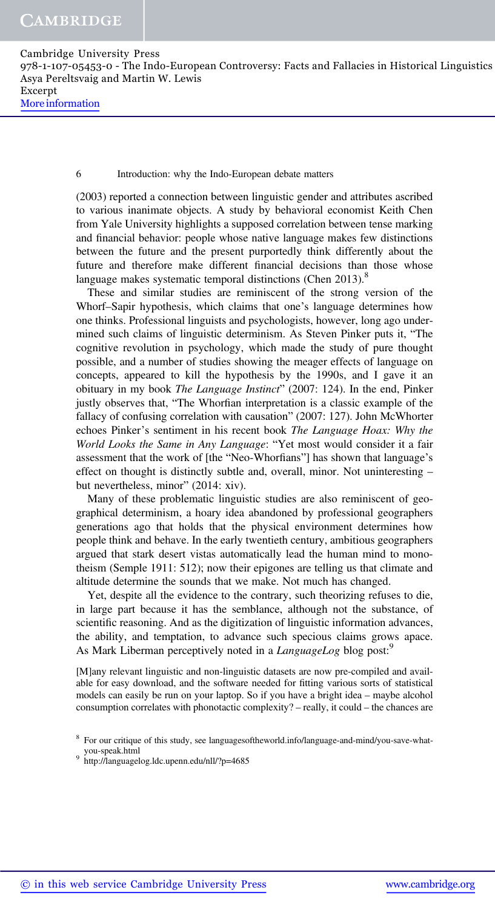Cambridge University Press

978-1-107-05453-0 - The Indo-European Controversy: Facts and Fallacies in Historical Linguistics Asya Pereltsvaig and Martin W. Lewis Excerpt

More information

6 Introduction: why the Indo-European debate matters

(2003) reported a connection between linguistic gender and attributes ascribed to various inanimate objects. A study by behavioral economist Keith Chen from Yale University highlights a supposed correlation between tense marking and financial behavior: people whose native language makes few distinctions between the future and the present purportedly think differently about the future and therefore make different financial decisions than those whose language makes systematic temporal distinctions (Chen  $2013$ ).<sup>8</sup>

These and similar studies are reminiscent of the strong version of the Whorf–Sapir hypothesis, which claims that one's language determines how one thinks. Professional linguists and psychologists, however, long ago undermined such claims of linguistic determinism. As Steven Pinker puts it, "The cognitive revolution in psychology, which made the study of pure thought possible, and a number of studies showing the meager effects of language on concepts, appeared to kill the hypothesis by the 1990s, and I gave it an obituary in my book The Language Instinct" (2007: 124). In the end, Pinker justly observes that, "The Whorfian interpretation is a classic example of the fallacy of confusing correlation with causation" (2007: 127). John McWhorter echoes Pinker's sentiment in his recent book The Language Hoax: Why the World Looks the Same in Any Language: "Yet most would consider it a fair assessment that the work of [the "Neo-Whorfians"] has shown that language's effect on thought is distinctly subtle and, overall, minor. Not uninteresting – but nevertheless, minor" (2014: xiv).

Many of these problematic linguistic studies are also reminiscent of geographical determinism, a hoary idea abandoned by professional geographers generations ago that holds that the physical environment determines how people think and behave. In the early twentieth century, ambitious geographers argued that stark desert vistas automatically lead the human mind to monotheism (Semple 1911: 512); now their epigones are telling us that climate and altitude determine the sounds that we make. Not much has changed.

Yet, despite all the evidence to the contrary, such theorizing refuses to die, in large part because it has the semblance, although not the substance, of scientific reasoning. And as the digitization of linguistic information advances, the ability, and temptation, to advance such specious claims grows apace. As Mark Liberman perceptively noted in a *LanguageLog* blog post:<sup>9</sup>

[M]any relevant linguistic and non-linguistic datasets are now pre-compiled and available for easy download, and the software needed for fitting various sorts of statistical models can easily be run on your laptop. So if you have a bright idea – maybe alcohol consumption correlates with phonotactic complexity? – really, it could – the chances are

<sup>8</sup> For our critique of this study, see languagesoftheworld.info/language-and-mind/you-save-whatyou-speak.html <sup>9</sup> http://languagelog.ldc.upenn.edu/nll/?p=4685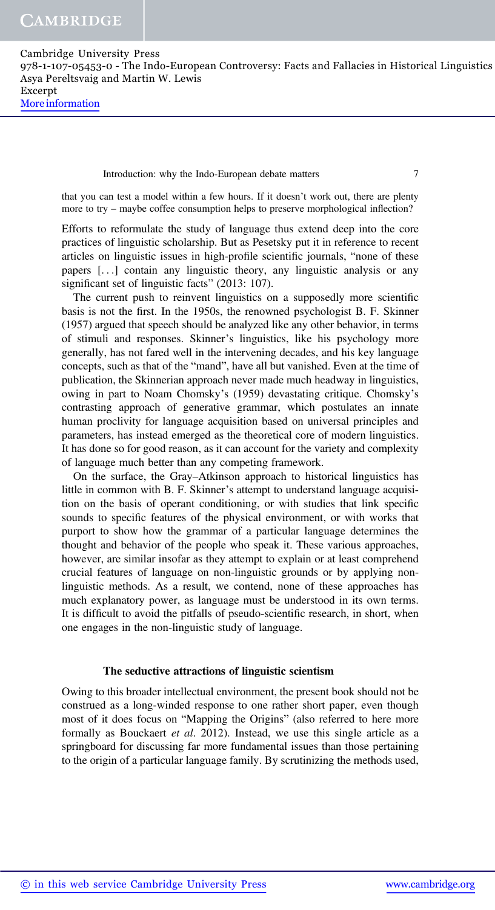#### Introduction: why the Indo-European debate matters 7

that you can test a model within a few hours. If it doesn't work out, there are plenty more to try – maybe coffee consumption helps to preserve morphological inflection?

Efforts to reformulate the study of language thus extend deep into the core practices of linguistic scholarship. But as Pesetsky put it in reference to recent articles on linguistic issues in high-profile scientific journals, "none of these papers [...] contain any linguistic theory, any linguistic analysis or any significant set of linguistic facts" (2013: 107).

The current push to reinvent linguistics on a supposedly more scientific basis is not the first. In the 1950s, the renowned psychologist B. F. Skinner (1957) argued that speech should be analyzed like any other behavior, in terms of stimuli and responses. Skinner's linguistics, like his psychology more generally, has not fared well in the intervening decades, and his key language concepts, such as that of the "mand", have all but vanished. Even at the time of publication, the Skinnerian approach never made much headway in linguistics, owing in part to Noam Chomsky's (1959) devastating critique. Chomsky's contrasting approach of generative grammar, which postulates an innate human proclivity for language acquisition based on universal principles and parameters, has instead emerged as the theoretical core of modern linguistics. It has done so for good reason, as it can account for the variety and complexity of language much better than any competing framework.

On the surface, the Gray–Atkinson approach to historical linguistics has little in common with B. F. Skinner's attempt to understand language acquisition on the basis of operant conditioning, or with studies that link specific sounds to specific features of the physical environment, or with works that purport to show how the grammar of a particular language determines the thought and behavior of the people who speak it. These various approaches, however, are similar insofar as they attempt to explain or at least comprehend crucial features of language on non-linguistic grounds or by applying nonlinguistic methods. As a result, we contend, none of these approaches has much explanatory power, as language must be understood in its own terms. It is difficult to avoid the pitfalls of pseudo-scientific research, in short, when one engages in the non-linguistic study of language.

### The seductive attractions of linguistic scientism

Owing to this broader intellectual environment, the present book should not be construed as a long-winded response to one rather short paper, even though most of it does focus on "Mapping the Origins" (also referred to here more formally as Bouckaert et al. 2012). Instead, we use this single article as a springboard for discussing far more fundamental issues than those pertaining to the origin of a particular language family. By scrutinizing the methods used,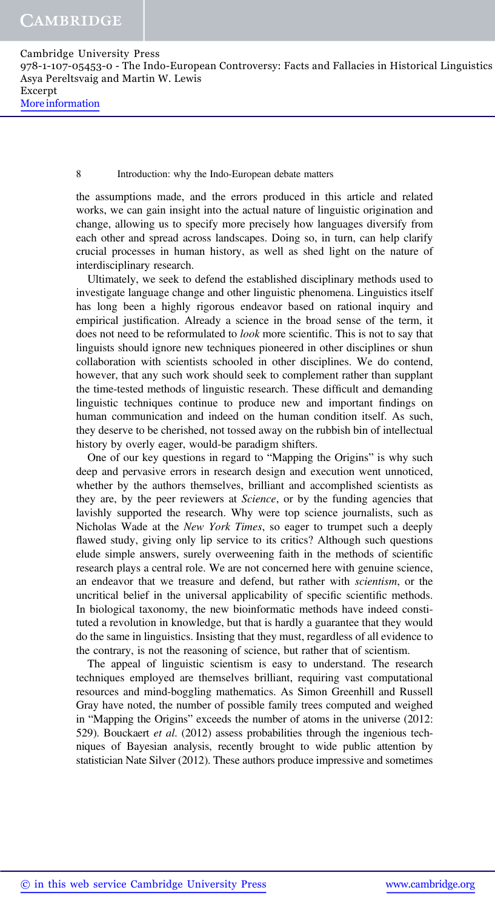Cambridge University Press

978-1-107-05453-0 - The Indo-European Controversy: Facts and Fallacies in Historical Linguistics Asya Pereltsvaig and Martin W. Lewis Excerpt

More information

8 Introduction: why the Indo-European debate matters

the assumptions made, and the errors produced in this article and related works, we can gain insight into the actual nature of linguistic origination and change, allowing us to specify more precisely how languages diversify from each other and spread across landscapes. Doing so, in turn, can help clarify crucial processes in human history, as well as shed light on the nature of interdisciplinary research.

Ultimately, we seek to defend the established disciplinary methods used to investigate language change and other linguistic phenomena. Linguistics itself has long been a highly rigorous endeavor based on rational inquiry and empirical justification. Already a science in the broad sense of the term, it does not need to be reformulated to *look* more scientific. This is not to say that linguists should ignore new techniques pioneered in other disciplines or shun collaboration with scientists schooled in other disciplines. We do contend, however, that any such work should seek to complement rather than supplant the time-tested methods of linguistic research. These difficult and demanding linguistic techniques continue to produce new and important findings on human communication and indeed on the human condition itself. As such, they deserve to be cherished, not tossed away on the rubbish bin of intellectual history by overly eager, would-be paradigm shifters.

One of our key questions in regard to "Mapping the Origins" is why such deep and pervasive errors in research design and execution went unnoticed, whether by the authors themselves, brilliant and accomplished scientists as they are, by the peer reviewers at Science, or by the funding agencies that lavishly supported the research. Why were top science journalists, such as Nicholas Wade at the New York Times, so eager to trumpet such a deeply flawed study, giving only lip service to its critics? Although such questions elude simple answers, surely overweening faith in the methods of scientific research plays a central role. We are not concerned here with genuine science, an endeavor that we treasure and defend, but rather with scientism, or the uncritical belief in the universal applicability of specific scientific methods. In biological taxonomy, the new bioinformatic methods have indeed constituted a revolution in knowledge, but that is hardly a guarantee that they would do the same in linguistics. Insisting that they must, regardless of all evidence to the contrary, is not the reasoning of science, but rather that of scientism.

The appeal of linguistic scientism is easy to understand. The research techniques employed are themselves brilliant, requiring vast computational resources and mind-boggling mathematics. As Simon Greenhill and Russell Gray have noted, the number of possible family trees computed and weighed in "Mapping the Origins" exceeds the number of atoms in the universe (2012: 529). Bouckaert et al. (2012) assess probabilities through the ingenious techniques of Bayesian analysis, recently brought to wide public attention by statistician Nate Silver (2012). These authors produce impressive and sometimes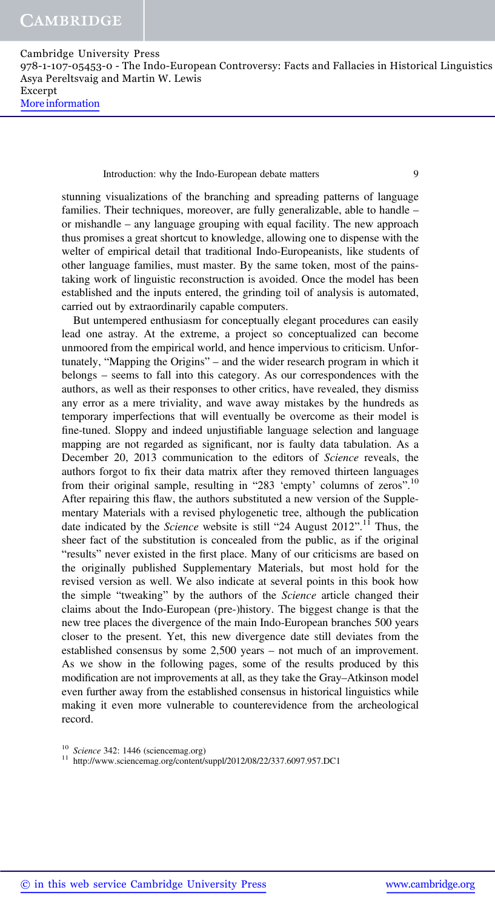Introduction: why the Indo-European debate matters 9

stunning visualizations of the branching and spreading patterns of language families. Their techniques, moreover, are fully generalizable, able to handle – or mishandle – any language grouping with equal facility. The new approach thus promises a great shortcut to knowledge, allowing one to dispense with the welter of empirical detail that traditional Indo-Europeanists, like students of other language families, must master. By the same token, most of the painstaking work of linguistic reconstruction is avoided. Once the model has been established and the inputs entered, the grinding toil of analysis is automated, carried out by extraordinarily capable computers.

But untempered enthusiasm for conceptually elegant procedures can easily lead one astray. At the extreme, a project so conceptualized can become unmoored from the empirical world, and hence impervious to criticism. Unfortunately, "Mapping the Origins" – and the wider research program in which it belongs – seems to fall into this category. As our correspondences with the authors, as well as their responses to other critics, have revealed, they dismiss any error as a mere triviality, and wave away mistakes by the hundreds as temporary imperfections that will eventually be overcome as their model is fine-tuned. Sloppy and indeed unjustifiable language selection and language mapping are not regarded as significant, nor is faulty data tabulation. As a December 20, 2013 communication to the editors of Science reveals, the authors forgot to fix their data matrix after they removed thirteen languages from their original sample, resulting in "283 'empty' columns of zeros".<sup>10</sup> After repairing this flaw, the authors substituted a new version of the Supplementary Materials with a revised phylogenetic tree, although the publication date indicated by the *Science* website is still "24 August 2012".<sup>11</sup> Thus, the sheer fact of the substitution is concealed from the public, as if the original "results" never existed in the first place. Many of our criticisms are based on the originally published Supplementary Materials, but most hold for the revised version as well. We also indicate at several points in this book how the simple "tweaking" by the authors of the Science article changed their claims about the Indo-European (pre-)history. The biggest change is that the new tree places the divergence of the main Indo-European branches 500 years closer to the present. Yet, this new divergence date still deviates from the established consensus by some 2,500 years – not much of an improvement. As we show in the following pages, some of the results produced by this modification are not improvements at all, as they take the Gray–Atkinson model even further away from the established consensus in historical linguistics while making it even more vulnerable to counterevidence from the archeological record.

<sup>&</sup>lt;sup>10</sup> Science 342: 1446 (sciencemag.org)  $11 \text{ http://www.sciencemag.org/content/suppl/2012/08/22/337.6097.957.}$ DC1